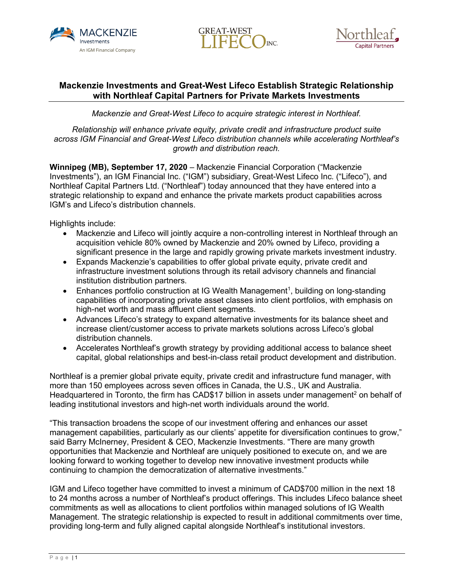





## **Mackenzie Investments and Great-West Lifeco Establish Strategic Relationship with Northleaf Capital Partners for Private Markets Investments**

*Mackenzie and Great-West Lifeco to acquire strategic interest in Northleaf.* 

*Relationship will enhance private equity, private credit and infrastructure product suite across IGM Financial and Great-West Lifeco distribution channels while accelerating Northleaf's growth and distribution reach.*

**Winnipeg (MB), September 17, 2020** – Mackenzie Financial Corporation ("Mackenzie Investments"), an IGM Financial Inc. ("IGM") subsidiary, Great-West Lifeco Inc. ("Lifeco"), and Northleaf Capital Partners Ltd. ("Northleaf") today announced that they have entered into a strategic relationship to expand and enhance the private markets product capabilities across IGM's and Lifeco's distribution channels.

Highlights include:

- Mackenzie and Lifeco will jointly acquire a non-controlling interest in Northleaf through an acquisition vehicle 80% owned by Mackenzie and 20% owned by Lifeco, providing a significant presence in the large and rapidly growing private markets investment industry.
- Expands Mackenzie's capabilities to offer global private equity, private credit and infrastructure investment solutions through its retail advisory channels and financial institution distribution partners.
- Enhances portfolio construction at IG Wealth Management<sup>1</sup>, building on long-standing capabilities of incorporating private asset classes into client portfolios, with emphasis on high-net worth and mass affluent client segments.
- Advances Lifeco's strategy to expand alternative investments for its balance sheet and increase client/customer access to private markets solutions across Lifeco's global distribution channels.
- Accelerates Northleaf's growth strategy by providing additional access to balance sheet capital, global relationships and best-in-class retail product development and distribution.

Northleaf is a premier global private equity, private credit and infrastructure fund manager, with more than 150 employees across seven offices in Canada, the U.S., UK and Australia. Headquartered in Toronto, the firm has CAD\$17 billion in assets under management<sup>2</sup> on behalf of leading institutional investors and high-net worth individuals around the world.

"This transaction broadens the scope of our investment offering and enhances our asset management capabilities, particularly as our clients' appetite for diversification continues to grow," said Barry McInerney, President & CEO, Mackenzie Investments. "There are many growth opportunities that Mackenzie and Northleaf are uniquely positioned to execute on, and we are looking forward to working together to develop new innovative investment products while continuing to champion the democratization of alternative investments."

IGM and Lifeco together have committed to invest a minimum of CAD\$700 million in the next 18 to 24 months across a number of Northleaf's product offerings. This includes Lifeco balance sheet commitments as well as allocations to client portfolios within managed solutions of IG Wealth Management. The strategic relationship is expected to result in additional commitments over time, providing long-term and fully aligned capital alongside Northleaf's institutional investors.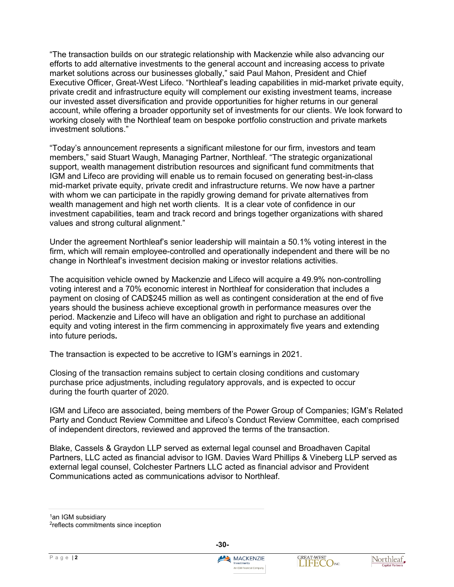"The transaction builds on our strategic relationship with Mackenzie while also advancing our efforts to add alternative investments to the general account and increasing access to private market solutions across our businesses globally," said Paul Mahon, President and Chief Executive Officer, Great-West Lifeco. "Northleaf's leading capabilities in mid-market private equity, private credit and infrastructure equity will complement our existing investment teams, increase our invested asset diversification and provide opportunities for higher returns in our general account, while offering a broader opportunity set of investments for our clients. We look forward to working closely with the Northleaf team on bespoke portfolio construction and private markets investment solutions."

"Today's announcement represents a significant milestone for our firm, investors and team members," said Stuart Waugh, Managing Partner, Northleaf. "The strategic organizational support, wealth management distribution resources and significant fund commitments that IGM and Lifeco are providing will enable us to remain focused on generating best-in-class mid-market private equity, private credit and infrastructure returns. We now have a partner with whom we can participate in the rapidly growing demand for private alternatives from wealth management and high net worth clients. It is a clear vote of confidence in our investment capabilities, team and track record and brings together organizations with shared values and strong cultural alignment."

Under the agreement Northleaf's senior leadership will maintain a 50.1% voting interest in the firm, which will remain employee-controlled and operationally independent and there will be no change in Northleaf's investment decision making or investor relations activities.

The acquisition vehicle owned by Mackenzie and Lifeco will acquire a 49.9% non-controlling voting interest and a 70% economic interest in Northleaf for consideration that includes a payment on closing of CAD\$245 million as well as contingent consideration at the end of five years should the business achieve exceptional growth in performance measures over the period. Mackenzie and Lifeco will have an obligation and right to purchase an additional equity and voting interest in the firm commencing in approximately five years and extending into future periods**.**

The transaction is expected to be accretive to IGM's earnings in 2021.

Closing of the transaction remains subject to certain closing conditions and customary purchase price adjustments, including regulatory approvals, and is expected to occur during the fourth quarter of 2020.

IGM and Lifeco are associated, being members of the Power Group of Companies; IGM's Related Party and Conduct Review Committee and Lifeco's Conduct Review Committee, each comprised of independent directors, reviewed and approved the terms of the transaction.

Blake, Cassels & Graydon LLP served as external legal counsel and Broadhaven Capital Partners, LLC acted as financial advisor to IGM. Davies Ward Phillips & Vineberg LLP served as external legal counsel, Colchester Partners LLC acted as financial advisor and Provident Communications acted as communications advisor to Northleaf.

<sup>1</sup>an IGM subsidiary





<sup>2</sup>reflects commitments since inception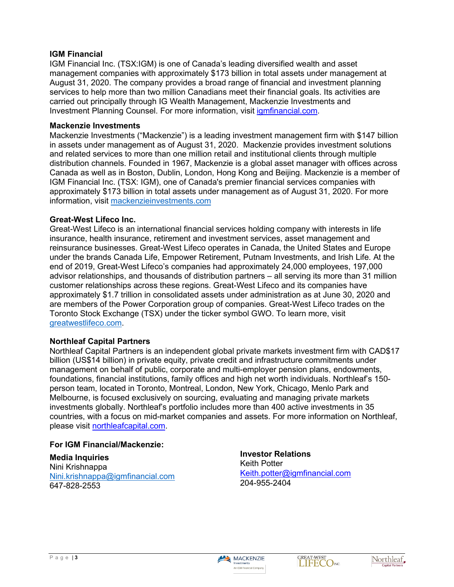### **IGM Financial**

IGM Financial Inc. (TSX:IGM) is one of Canada's leading diversified wealth and asset management companies with approximately \$173 billion in total assets under management at August 31, 2020. The company provides a broad range of financial and investment planning services to help more than two million Canadians meet their financial goals. Its activities are carried out principally through IG Wealth Management, Mackenzie Investments and Investment Planning Counsel. For more information, visit [igmfinancial.com.](https://www.igmfinancial.com/en)

#### **Mackenzie Investments**

Mackenzie Investments ("Mackenzie") is a leading investment management firm with \$147 billion in assets under management as of August 31, 2020. Mackenzie provides investment solutions and related services to more than one million retail and institutional clients through multiple distribution channels. Founded in 1967, Mackenzie is a global asset manager with offices across Canada as well as in Boston, Dublin, London, Hong Kong and Beijing. Mackenzie is a member of IGM Financial Inc. (TSX: IGM), one of Canada's premier financial services companies with approximately \$173 billion in total assets under management as of August 31, 2020. For more information, visit [mackenzieinvestments.com](https://can01.safelinks.protection.outlook.com/?url=https%3A%2F%2Fwww.mackenzieinvestments.com%2F&data=02%7C01%7CMichelle.McDonald%40ig.ca%7C3a119c7c7b6b48b9d06c08d85652d44a%7Cdc411c631f524491bb51c4d215a1de23%7C0%7C0%7C637354261044473159&sdata=cY9cdYLVku4UkycZT3qt1B%2FEhjdSuu%2F7kNFzLwwjgO0%3D&reserved=0)

### **Great-West Lifeco Inc.**

Great-West Lifeco is an international financial services holding company with interests in life insurance, health insurance, retirement and investment services, asset management and reinsurance businesses. Great-West Lifeco operates in Canada, the United States and Europe under the brands Canada Life, Empower Retirement, Putnam Investments, and Irish Life. At the end of 2019, Great-West Lifeco's companies had approximately 24,000 employees, 197,000 advisor relationships, and thousands of distribution partners – all serving its more than 31 million customer relationships across these regions. Great-West Lifeco and its companies have approximately \$1.7 trillion in consolidated assets under administration as at June 30, 2020 and are members of the Power Corporation group of companies. Great-West Lifeco trades on the Toronto Stock Exchange (TSX) under the ticker symbol GWO. To learn more, visit [greatwestlifeco.com](http://www.greatwestlifeco.com/). 

### **Northleaf Capital Partners**

Northleaf Capital Partners is an independent global private markets investment firm with CAD\$17 billion (US\$14 billion) in private equity, private credit and infrastructure commitments under management on behalf of public, corporate and multi-employer pension plans, endowments, foundations, financial institutions, family offices and high net worth individuals. Northleaf's 150 person team, located in Toronto, Montreal, London, New York, Chicago, Menlo Park and Melbourne, is focused exclusively on sourcing, evaluating and managing private markets investments globally. Northleaf's portfolio includes more than 400 active investments in 35 countries, with a focus on mid-market companies and assets. For more information on Northleaf, please visit [northleafcapital.com.](http://northleafcapital.com/)

### **For IGM Financial/Mackenzie:**

**Media Inquiries** Nini Krishnappa [Nini.krishnappa@igmfinancial.com](mailto:Nini.krishnappa@igmfinancial.com) 647-828-2553

**Investor Relations** Keith Potter [Keith.potter@igmfinancial.com](mailto:Keith.potter@igmfinancial.com) 204-955-2404







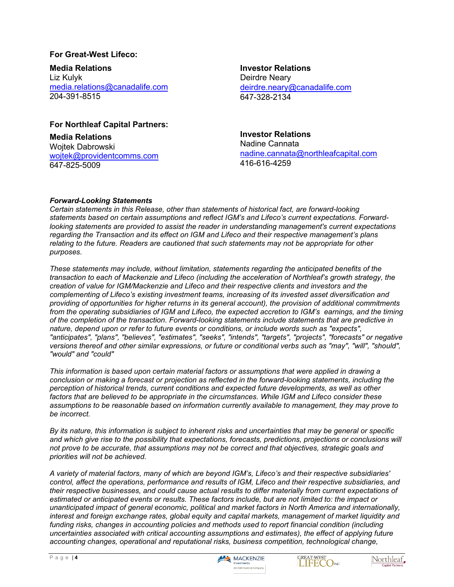### **For Great-West Lifeco:**

**Media Relations** Liz Kulyk [media.relations@canadalife.com](mailto:media.relations@canadalife.com) 204-391-8515

**Investor Relations** Deirdre Neary [deirdre.neary@canadalife.com](mailto:deirdre.neary@canadalife.com) 647-328-2134

## **For Northleaf Capital Partners:**

**Media Relations** Woitek Dabrowski [wojtek@providentcomms.com](mailto:wojtek@providentcomms.com) 647-825-5009

# **Investor Relations**

Nadine Cannata [nadine.cannata@northleafcapital.com](mailto:nadine.cannata@northleafcapital.com) 416-616-4259

### *Forward-Looking Statements*

*Certain statements in this Release, other than statements of historical fact, are forward-looking statements based on certain assumptions and reflect IGM's and Lifeco's current expectations. Forwardlooking statements are provided to assist the reader in understanding management's current expectations regarding the Transaction and its effect on IGM and Lifeco and their respective management's plans relating to the future. Readers are cautioned that such statements may not be appropriate for other purposes.*

*These statements may include, without limitation, statements regarding the anticipated benefits of the transaction to each of Mackenzie and Lifeco (including the acceleration of Northleaf's growth strategy, the creation of value for IGM/Mackenzie and Lifeco and their respective clients and investors and the complementing of Lifeco's existing investment teams, increasing of its invested asset diversification and providing of opportunities for higher returns in its general account), the provision of additional commitments from the operating subsidiaries of IGM and Lifeco, the expected accretion to IGM's earnings, and the timing of the completion of the transaction. Forward-looking statements include statements that are predictive in nature, depend upon or refer to future events or conditions, or include words such as "expects", "anticipates", "plans", "believes", "estimates", "seeks", "intends", "targets", "projects", "forecasts" or negative versions thereof and other similar expressions, or future or conditional verbs such as "may", "will", "should", "would" and "could"*

*This information is based upon certain material factors or assumptions that were applied in drawing a conclusion or making a forecast or projection as reflected in the forward-looking statements, including the perception of historical trends, current conditions and expected future developments, as well as other factors that are believed to be appropriate in the circumstances. While IGM and Lifeco consider these assumptions to be reasonable based on information currently available to management, they may prove to be incorrect.*

*By its nature, this information is subject to inherent risks and uncertainties that may be general or specific and which give rise to the possibility that expectations, forecasts, predictions, projections or conclusions will not prove to be accurate, that assumptions may not be correct and that objectives, strategic goals and priorities will not be achieved.*

*A variety of material factors, many of which are beyond IGM's, Lifeco's and their respective subsidiaries' control, affect the operations, performance and results of IGM, Lifeco and their respective subsidiaries, and their respective businesses, and could cause actual results to differ materially from current expectations of estimated or anticipated events or results. These factors include, but are not limited to: the impact or unanticipated impact of general economic, political and market factors in North America and internationally, interest and foreign exchange rates, global equity and capital markets, management of market liquidity and funding risks, changes in accounting policies and methods used to report financial condition (including uncertainties associated with critical accounting assumptions and estimates), the effect of applying future accounting changes, operational and reputational risks, business competition, technological change,*